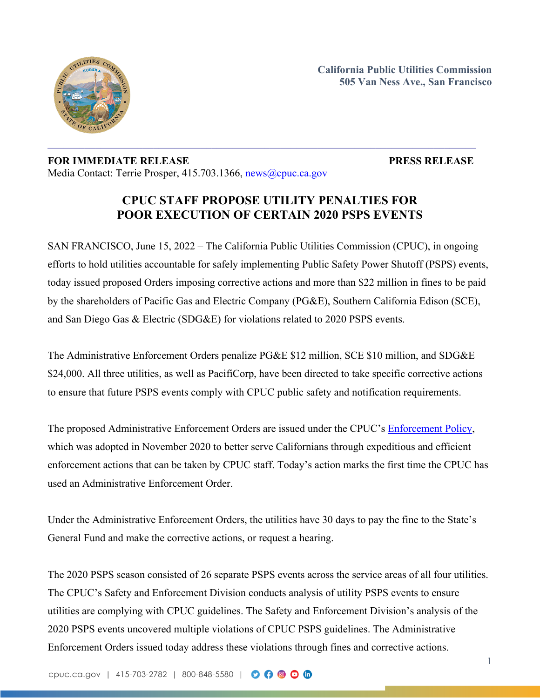

**California Public Utilities Commission 505 Van Ness Ave., San Francisco**

## **FOR IMMEDIATE RELEASE PRESS RELEASE** Media Contact: Terrie Prosper, 415.703.1366, [news@cpuc.ca.gov](mailto:news@cpuc.ca.gov)

1

## **CPUC STAFF PROPOSE UTILITY PENALTIES FOR POOR EXECUTION OF CERTAIN 2020 PSPS EVENTS**

SAN FRANCISCO, June 15, 2022 – The California Public Utilities Commission (CPUC), in ongoing efforts to hold utilities accountable for safely implementing Public Safety Power Shutoff (PSPS) events, today issued proposed Orders imposing corrective actions and more than \$22 million in fines to be paid by the shareholders of Pacific Gas and Electric Company (PG&E), Southern California Edison (SCE), and San Diego Gas & Electric (SDG&E) for violations related to 2020 PSPS events.

The Administrative Enforcement Orders penalize PG&E \$12 million, SCE \$10 million, and SDG&E \$24,000. All three utilities, as well as PacifiCorp, have been directed to take specific corrective actions to ensure that future PSPS events comply with CPUC public safety and notification requirements.

The proposed Administrative Enforcement Orders are issued under the CPUC's [Enforcement](https://docs.cpuc.ca.gov/PublishedDocs/Published/G000/M350/K387/350387703.PDF) Policy, which was adopted in November 2020 to better serve Californians through expeditious and efficient enforcement actions that can be taken by CPUC staff. Today's action marks the first time the CPUC has used an Administrative Enforcement Order.

Under the Administrative Enforcement Orders, the utilities have 30 days to pay the fine to the State's General Fund and make the corrective actions, or request a hearing.

The 2020 PSPS season consisted of 26 separate PSPS events across the service areas of all four utilities. The CPUC's Safety and Enforcement Division conducts analysis of utility PSPS events to ensure utilities are complying with CPUC guidelines. The Safety and Enforcement Division's analysis of the 2020 PSPS events uncovered multiple violations of CPUC PSPS guidelines. The Administrative Enforcement Orders issued today address these violations through fines and corrective actions.

cpuc.ca.gov | 415-703-2782 | 800-848-5580 | 0 0 0 0 0